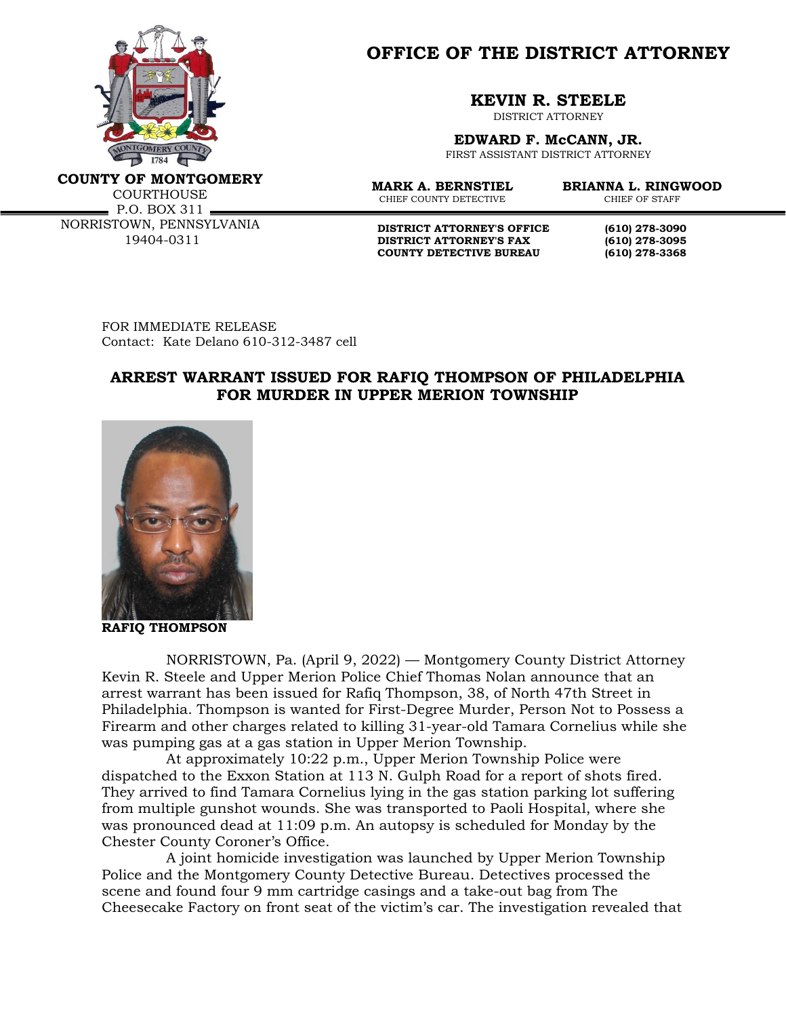

**OFFICE OF THE DISTRICT ATTORNEY**

**KEVIN R. STEELE**

DISTRICT ATTORNEY

**EDWARD F. McCANN, JR.**

FIRST ASSISTANT DISTRICT ATTORNEY

**COUNTY OF MONTGOMERY**

**COURTHOUSE** P.O. BOX 311 NORRISTOWN, PENNSYLVANIA 19404-0311

CHIEF COUNTY DETECTIVE

**MARK A. BERNSTIEL BRIANNA L. RINGWOOD**

**DISTRICT ATTORNEY'S OFFICE** (610) 278-3090<br>DISTRICT ATTORNEY'S FAX (610) 278-3095 **DISTRICT ATTORNEY'S FAX** (610) 278-3095<br> **COUNTY DETECTIVE BUREAU** (610) 278-3368 **COUNTY DETECTIVE BUREAU (610) 278-3368**

FOR IMMEDIATE RELEASE Contact: Kate Delano 610-312-3487 cell

## **ARREST WARRANT ISSUED FOR RAFIQ THOMPSON OF PHILADELPHIA FOR MURDER IN UPPER MERION TOWNSHIP**



**RAFIQ THOMPSON**

NORRISTOWN, Pa. (April 9, 2022) — Montgomery County District Attorney Kevin R. Steele and Upper Merion Police Chief Thomas Nolan announce that an arrest warrant has been issued for Rafiq Thompson, 38, of North 47th Street in Philadelphia. Thompson is wanted for First-Degree Murder, Person Not to Possess a Firearm and other charges related to killing 31-year-old Tamara Cornelius while she was pumping gas at a gas station in Upper Merion Township.

At approximately 10:22 p.m., Upper Merion Township Police were dispatched to the Exxon Station at 113 N. Gulph Road for a report of shots fired. They arrived to find Tamara Cornelius lying in the gas station parking lot suffering from multiple gunshot wounds. She was transported to Paoli Hospital, where she was pronounced dead at 11:09 p.m. An autopsy is scheduled for Monday by the Chester County Coroner's Office.

A joint homicide investigation was launched by Upper Merion Township Police and the Montgomery County Detective Bureau. Detectives processed the scene and found four 9 mm cartridge casings and a take-out bag from The Cheesecake Factory on front seat of the victim's car. The investigation revealed that